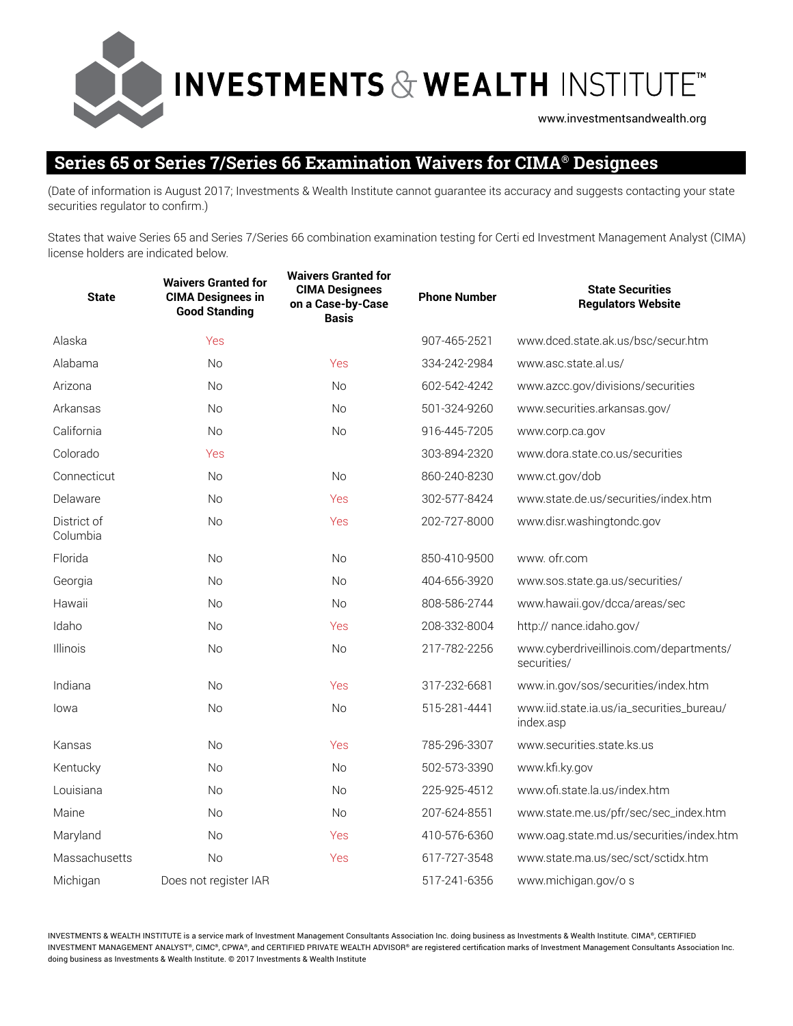**INVESTMENTS & WEALTH INSTITUTE"** www.investmentsandwealth.org

## **Series 65 or Series 7/Series 66 Examination Waivers for CIMA® Designees**

(Date of information is August 2017; Investments & Wealth Institute cannot guarantee its accuracy and suggests contacting your state securities regulator to confirm.)

States that waive Series 65 and Series 7/Series 66 combination examination testing for Certi ed Investment Management Analyst (CIMA) license holders are indicated below.

| <b>State</b>            | <b>Waivers Granted for</b><br><b>CIMA Designees in</b><br><b>Good Standing</b> | <b>Waivers Granted for</b><br><b>CIMA Designees</b><br>on a Case-by-Case<br><b>Basis</b> | <b>Phone Number</b> | <b>State Securities</b><br><b>Regulators Website</b>   |
|-------------------------|--------------------------------------------------------------------------------|------------------------------------------------------------------------------------------|---------------------|--------------------------------------------------------|
| Alaska                  | Yes                                                                            |                                                                                          | 907-465-2521        | www.dced.state.ak.us/bsc/secur.htm                     |
| Alabama                 | No                                                                             | Yes                                                                                      | 334-242-2984        | www.asc.state.al.us/                                   |
| Arizona                 | <b>No</b>                                                                      | <b>No</b>                                                                                | 602-542-4242        | www.azcc.gov/divisions/securities                      |
| Arkansas                | <b>No</b>                                                                      | <b>No</b>                                                                                | 501-324-9260        | www.securities.arkansas.gov/                           |
| California              | <b>No</b>                                                                      | <b>No</b>                                                                                | 916-445-7205        | www.corp.ca.gov                                        |
| Colorado                | Yes                                                                            |                                                                                          | 303-894-2320        | www.dora.state.co.us/securities                        |
| Connecticut             | <b>No</b>                                                                      | <b>No</b>                                                                                | 860-240-8230        | www.ct.gov/dob                                         |
| Delaware                | <b>No</b>                                                                      | Yes                                                                                      | 302-577-8424        | www.state.de.us/securities/index.htm                   |
| District of<br>Columbia | No                                                                             | Yes                                                                                      | 202-727-8000        | www.disr.washingtondc.gov                              |
| Florida                 | No                                                                             | <b>No</b>                                                                                | 850-410-9500        | www. ofr.com                                           |
| Georgia                 | No                                                                             | <b>No</b>                                                                                | 404-656-3920        | www.sos.state.ga.us/securities/                        |
| Hawaii                  | No                                                                             | <b>No</b>                                                                                | 808-586-2744        | www.hawaii.gov/dcca/areas/sec                          |
| Idaho                   | No                                                                             | Yes                                                                                      | 208-332-8004        | http:// nance.idaho.gov/                               |
| Illinois                | <b>No</b>                                                                      | <b>No</b>                                                                                | 217-782-2256        | www.cyberdriveillinois.com/departments/<br>securities/ |
| Indiana                 | <b>No</b>                                                                      | Yes                                                                                      | 317-232-6681        | www.in.gov/sos/securities/index.htm                    |
| lowa                    | <b>No</b>                                                                      | <b>No</b>                                                                                | 515-281-4441        | www.iid.state.ia.us/ia_securities_bureau/<br>index.asp |
| Kansas                  | <b>No</b>                                                                      | Yes                                                                                      | 785-296-3307        | www.securities.state.ks.us                             |
| Kentucky                | <b>No</b>                                                                      | <b>No</b>                                                                                | 502-573-3390        | www.kfi.ky.gov                                         |
| Louisiana               | No                                                                             | <b>No</b>                                                                                | 225-925-4512        | www.ofi.state.la.us/index.htm                          |
| Maine                   | <b>No</b>                                                                      | No                                                                                       | 207-624-8551        | www.state.me.us/pfr/sec/sec_index.htm                  |
| Maryland                | No                                                                             | Yes                                                                                      | 410-576-6360        | www.oag.state.md.us/securities/index.htm               |
| Massachusetts           | No                                                                             | Yes                                                                                      | 617-727-3548        | www.state.ma.us/sec/sct/sctidx.htm                     |
| Michigan                | Does not register IAR                                                          |                                                                                          | 517-241-6356        | www.michigan.gov/o s                                   |

INVESTMENTS & WEALTH INSTITUTE is a service mark of Investment Management Consultants Association Inc. doing business as Investments & Wealth Institute. CIMA®, CERTIFIED INVESTMENT MANAGEMENT ANALYST®, CIMC®, CPWA®, and CERTIFIED PRIVATE WEALTH ADVISOR® are registered certification marks of Investment Management Consultants Association Inc. doing business as Investments & Wealth Institute. © 2017 Investments & Wealth Institute